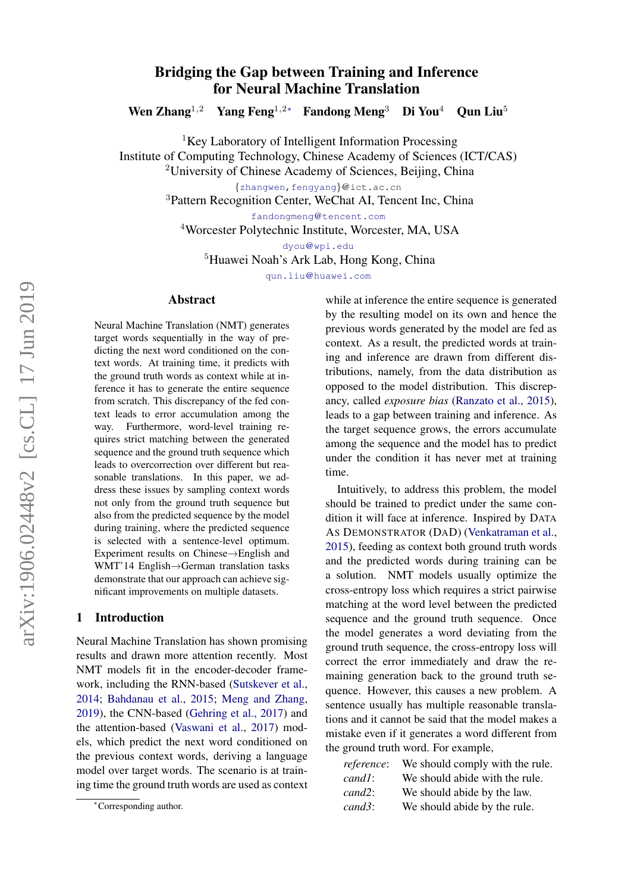# Bridging the Gap between Training and Inference for Neural Machine Translation

Wen Zhang<sup>1,2</sup> Yang Feng<sup>1,2∗</sup> Fandong Meng<sup>3</sup> Di You<sup>4</sup> Qun Liu<sup>5</sup>

<sup>1</sup>Key Laboratory of Intelligent Information Processing

Institute of Computing Technology, Chinese Academy of Sciences (ICT/CAS)

<sup>2</sup>University of Chinese Academy of Sciences, Beijing, China

{[zhangwen,](mailto:zhangwen@ict.ac.cn)[fengyang](mailto:fengyang@ict.ac.cn)}@ict.ac.cn

<sup>3</sup>Pattern Recognition Center, WeChat AI, Tencent Inc, China

fandongmeng@[tencent.com](mailto:fandongmeng@tencent.com)

<sup>4</sup>Worcester Polytechnic Institute, Worcester, MA, USA

dyou@[wpi.edu](mailto:diyou@gmail.com)

<sup>5</sup>Huawei Noah's Ark Lab, Hong Kong, China

qun.liu@[huawei.com](mailto:qun.liu@huawei.com)

### Abstract

Neural Machine Translation (NMT) generates target words sequentially in the way of predicting the next word conditioned on the context words. At training time, it predicts with the ground truth words as context while at inference it has to generate the entire sequence from scratch. This discrepancy of the fed context leads to error accumulation among the way. Furthermore, word-level training requires strict matching between the generated sequence and the ground truth sequence which leads to overcorrection over different but reasonable translations. In this paper, we address these issues by sampling context words not only from the ground truth sequence but also from the predicted sequence by the model during training, where the predicted sequence is selected with a sentence-level optimum. Experiment results on Chinese→English and WMT'14 English→German translation tasks demonstrate that our approach can achieve significant improvements on multiple datasets.

### 1 Introduction

Neural Machine Translation has shown promising results and drawn more attention recently. Most NMT models fit in the encoder-decoder framework, including the RNN-based [\(Sutskever et al.,](#page-9-0) [2014;](#page-9-0) [Bahdanau et al.,](#page-8-0) [2015;](#page-8-0) [Meng and Zhang,](#page-8-1) [2019\)](#page-8-1), the CNN-based [\(Gehring et al.,](#page-8-2) [2017\)](#page-8-2) and the attention-based [\(Vaswani et al.,](#page-9-1) [2017\)](#page-9-1) models, which predict the next word conditioned on the previous context words, deriving a language model over target words. The scenario is at training time the ground truth words are used as context while at inference the entire sequence is generated by the resulting model on its own and hence the previous words generated by the model are fed as context. As a result, the predicted words at training and inference are drawn from different distributions, namely, from the data distribution as opposed to the model distribution. This discrepancy, called *exposure bias* [\(Ranzato et al.,](#page-8-3) [2015\)](#page-8-3), leads to a gap between training and inference. As the target sequence grows, the errors accumulate among the sequence and the model has to predict under the condition it has never met at training time.

Intuitively, to address this problem, the model should be trained to predict under the same condition it will face at inference. Inspired by DATA AS DEMONSTRATOR (DAD) [\(Venkatraman et al.,](#page-9-2) [2015\)](#page-9-2), feeding as context both ground truth words and the predicted words during training can be a solution. NMT models usually optimize the cross-entropy loss which requires a strict pairwise matching at the word level between the predicted sequence and the ground truth sequence. Once the model generates a word deviating from the ground truth sequence, the cross-entropy loss will correct the error immediately and draw the remaining generation back to the ground truth sequence. However, this causes a new problem. A sentence usually has multiple reasonable translations and it cannot be said that the model makes a mistake even if it generates a word different from the ground truth word. For example,

| reference:           | We should comply with the rule. |
|----------------------|---------------------------------|
| $cand1$ :            | We should abide with the rule.  |
| $cand2$ :            | We should abide by the law.     |
| $c$ <i>and</i> $3$ : | We should abide by the rule.    |

<sup>∗</sup>Corresponding author.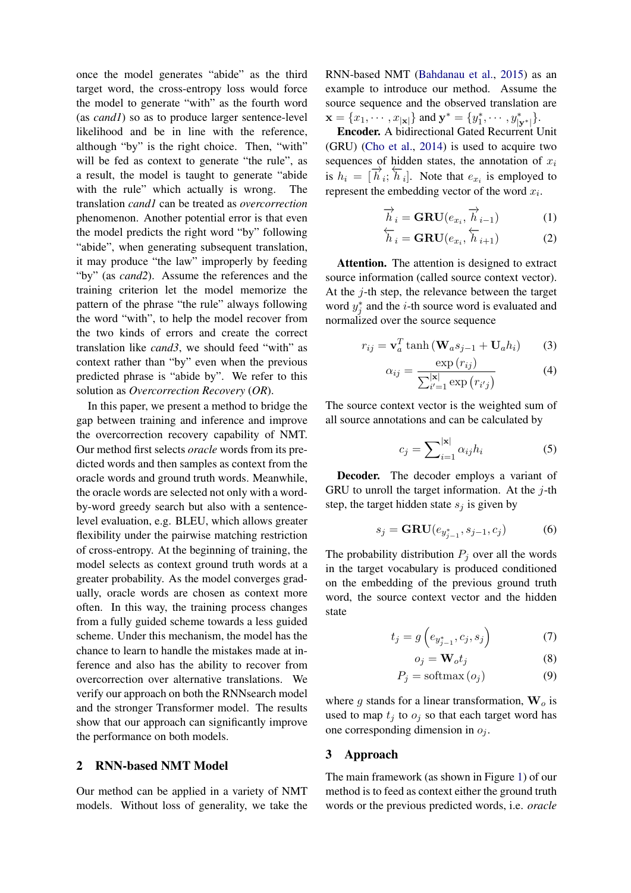once the model generates "abide" as the third target word, the cross-entropy loss would force the model to generate "with" as the fourth word (as *cand1*) so as to produce larger sentence-level likelihood and be in line with the reference, although "by" is the right choice. Then, "with" will be fed as context to generate "the rule", as a result, the model is taught to generate "abide with the rule" which actually is wrong. The translation *cand1* can be treated as *overcorrection* phenomenon. Another potential error is that even the model predicts the right word "by" following "abide", when generating subsequent translation, it may produce "the law" improperly by feeding "by" (as *cand2*). Assume the references and the training criterion let the model memorize the pattern of the phrase "the rule" always following the word "with", to help the model recover from the two kinds of errors and create the correct translation like *cand3*, we should feed "with" as context rather than "by" even when the previous predicted phrase is "abide by". We refer to this solution as *Overcorrection Recovery* (*OR*).

In this paper, we present a method to bridge the gap between training and inference and improve the overcorrection recovery capability of NMT. Our method first selects *oracle* words from its predicted words and then samples as context from the oracle words and ground truth words. Meanwhile, the oracle words are selected not only with a wordby-word greedy search but also with a sentencelevel evaluation, e.g. BLEU, which allows greater flexibility under the pairwise matching restriction of cross-entropy. At the beginning of training, the model selects as context ground truth words at a greater probability. As the model converges gradually, oracle words are chosen as context more often. In this way, the training process changes from a fully guided scheme towards a less guided scheme. Under this mechanism, the model has the chance to learn to handle the mistakes made at inference and also has the ability to recover from overcorrection over alternative translations. We verify our approach on both the RNNsearch model and the stronger Transformer model. The results show that our approach can significantly improve the performance on both models.

# <span id="page-1-4"></span>2 RNN-based NMT Model

Our method can be applied in a variety of NMT models. Without loss of generality, we take the RNN-based NMT [\(Bahdanau et al.,](#page-8-0) [2015\)](#page-8-0) as an example to introduce our method. Assume the source sequence and the observed translation are  $\mathbf{x} = \{x_1, \cdots, x_{|\mathbf{x}|}\}\$  and  $\mathbf{y}^* = \{y_1^*, \cdots, y_{|\mathbf{y}^*|}^*\}.$ 

Encoder. A bidirectional Gated Recurrent Unit (GRU) [\(Cho et al.,](#page-8-4) [2014\)](#page-8-4) is used to acquire two sequences of hidden states, the annotation of  $x_i$ is  $h_i = [\overrightarrow{h}_i; \overleftarrow{h}_i]$ . Note that  $e_{x_i}$  is employed to represent the embedding vector of the word  $x_i$ .

$$
\overrightarrow{h}_i = \mathbf{GRU}(e_{x_i}, \overrightarrow{h}_{i-1})
$$
 (1)

$$
\overleftarrow{h}_i = \mathbf{GRU}(e_{x_i}, \overleftarrow{h}_{i+1})
$$
 (2)

Attention. The attention is designed to extract source information (called source context vector). At the j-th step, the relevance between the target word  $y_j^*$  and the *i*-th source word is evaluated and normalized over the source sequence

$$
r_{ij} = \mathbf{v}_a^T \tanh\left(\mathbf{W}_a s_{j-1} + \mathbf{U}_a h_i\right) \tag{3}
$$

<span id="page-1-5"></span>
$$
\alpha_{ij} = \frac{\exp(r_{ij})}{\sum_{i'=1}^{|\mathbf{x}|} \exp(r_{i'j})}
$$
(4)

The source context vector is the weighted sum of all source annotations and can be calculated by

<span id="page-1-0"></span>
$$
c_j = \sum_{i=1}^{|\mathbf{x}|} \alpha_{ij} h_i
$$
 (5)

Decoder. The decoder employs a variant of GRU to unroll the target information. At the  $j$ -th step, the target hidden state  $s_i$  is given by

$$
s_j = \mathbf{GRU}(e_{y_{j-1}^*}, s_{j-1}, c_j) \tag{6}
$$

The probability distribution  $P_j$  over all the words in the target vocabulary is produced conditioned on the embedding of the previous ground truth word, the source context vector and the hidden state

$$
t_j = g\left(e_{y_{j-1}^*}, c_j, s_j\right) \tag{7}
$$

<span id="page-1-3"></span><span id="page-1-2"></span><span id="page-1-1"></span>
$$
o_j = \mathbf{W}_o t_j \tag{8}
$$

$$
P_j = \text{softmax}(o_j) \tag{9}
$$

where g stands for a linear transformation,  $W_0$  is used to map  $t_j$  to  $o_j$  so that each target word has one corresponding dimension in  $o_j$ .

### 3 Approach

The main framework (as shown in Figure [1\)](#page-2-0) of our method is to feed as context either the ground truth words or the previous predicted words, i.e. *oracle*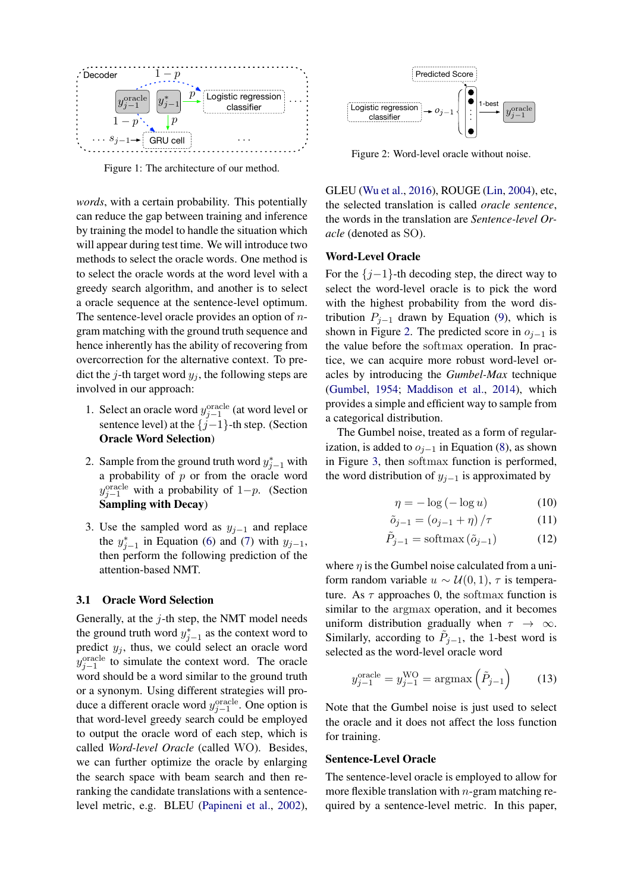<span id="page-2-0"></span>

Figure 1: The architecture of our method.

*words*, with a certain probability. This potentially can reduce the gap between training and inference by training the model to handle the situation which will appear during test time. We will introduce two methods to select the oracle words. One method is to select the oracle words at the word level with a greedy search algorithm, and another is to select a oracle sequence at the sentence-level optimum. The sentence-level oracle provides an option of  $n$ gram matching with the ground truth sequence and hence inherently has the ability of recovering from overcorrection for the alternative context. To predict the j-th target word  $y_i$ , the following steps are involved in our approach:

- 1. Select an oracle word  $y_{j-1}^{\text{oracle}}$  (at word level or sentence level) at the  $\{j-1\}$ -th step. (Section Oracle Word Selection)
- 2. Sample from the ground truth word  $y_{j-1}^*$  with a probability of  $p$  or from the oracle word  $y_{j-1}^{\text{oracle}}$  with a probability of 1–p. (Section Sampling with Decay)
- 3. Use the sampled word as  $y_{j-1}$  and replace the  $y_{j-1}^*$  in Equation [\(6\)](#page-1-0) and [\(7\)](#page-1-1) with  $y_{j-1}$ , then perform the following prediction of the attention-based NMT.

# 3.1 Oracle Word Selection

Generally, at the  $j$ -th step, the NMT model needs the ground truth word  $y_{j-1}^*$  as the context word to predict  $y_j$ , thus, we could select an oracle word  $y_{j-1}^{\text{oracle}}$  to simulate the context word. The oracle word should be a word similar to the ground truth or a synonym. Using different strategies will produce a different oracle word  $y_{j-1}^{\text{oracle}}$ . One option is that word-level greedy search could be employed to output the oracle word of each step, which is called *Word-level Oracle* (called WO). Besides, we can further optimize the oracle by enlarging the search space with beam search and then reranking the candidate translations with a sentencelevel metric, e.g. BLEU [\(Papineni et al.,](#page-8-5) [2002\)](#page-8-5),

<span id="page-2-1"></span>

Figure 2: Word-level oracle without noise.

GLEU [\(Wu et al.,](#page-9-3) [2016\)](#page-9-3), ROUGE [\(Lin,](#page-8-6) [2004\)](#page-8-6), etc, the selected translation is called *oracle sentence*, the words in the translation are *Sentence-level Oracle* (denoted as SO).

### Word-Level Oracle

For the  $\{j-1\}$ -th decoding step, the direct way to select the word-level oracle is to pick the word with the highest probability from the word distribution  $P_{i-1}$  drawn by Equation [\(9\)](#page-1-2), which is shown in Figure [2.](#page-2-1) The predicted score in  $o_{i-1}$  is the value before the softmax operation. In practice, we can acquire more robust word-level oracles by introducing the *Gumbel-Max* technique [\(Gumbel,](#page-8-7) [1954;](#page-8-7) [Maddison et al.,](#page-8-8) [2014\)](#page-8-8), which provides a simple and efficient way to sample from a categorical distribution.

The Gumbel noise, treated as a form of regularization, is added to  $o_{i-1}$  in Equation [\(8\)](#page-1-3), as shown in Figure [3,](#page-3-0) then softmax function is performed, the word distribution of  $y_{j-1}$  is approximated by

<span id="page-2-2"></span>
$$
\eta = -\log(-\log u) \tag{10}
$$

$$
\tilde{o}_{j-1} = (o_{j-1} + \eta) / \tau \tag{11}
$$

$$
\tilde{P}_{j-1} = \text{softmax}(\tilde{o}_{j-1}) \tag{12}
$$

where  $\eta$  is the Gumbel noise calculated from a uniform random variable  $u \sim \mathcal{U}(0, 1)$ ,  $\tau$  is temperature. As  $\tau$  approaches 0, the softmax function is similar to the argmax operation, and it becomes uniform distribution gradually when  $\tau \to \infty$ . Similarly, according to  $\tilde{P}_{j-1}$ , the 1-best word is selected as the word-level oracle word

$$
y_{j-1}^{\text{oracle}} = y_{j-1}^{\text{WO}} = \text{argmax}\left(\tilde{P}_{j-1}\right) \tag{13}
$$

Note that the Gumbel noise is just used to select the oracle and it does not affect the loss function for training.

### Sentence-Level Oracle

The sentence-level oracle is employed to allow for more flexible translation with  $n$ -gram matching required by a sentence-level metric. In this paper,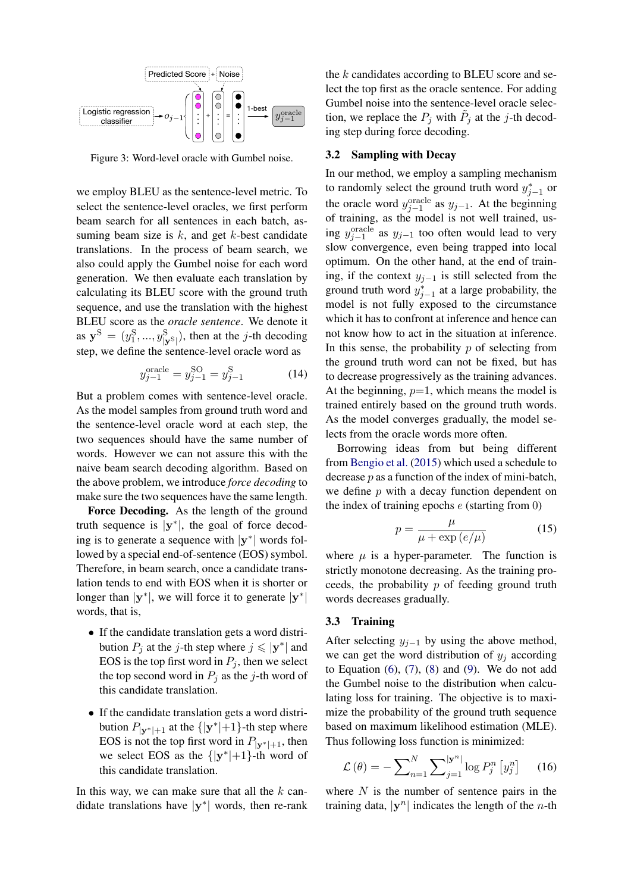<span id="page-3-0"></span>

Figure 3: Word-level oracle with Gumbel noise.

we employ BLEU as the sentence-level metric. To select the sentence-level oracles, we first perform beam search for all sentences in each batch, assuming beam size is  $k$ , and get  $k$ -best candidate translations. In the process of beam search, we also could apply the Gumbel noise for each word generation. We then evaluate each translation by calculating its BLEU score with the ground truth sequence, and use the translation with the highest BLEU score as the *oracle sentence*. We denote it as  $\mathbf{y}^{\mathrm{S}} = (y_1^{\mathrm{S}}, ..., y_{|\mathbf{y}^{\mathrm{S}}|}^{\mathrm{S}})$ , then at the *j*-th decoding step, we define the sentence-level oracle word as

$$
y_{j-1}^{\text{oracle}} = y_{j-1}^{\text{SO}} = y_{j-1}^{\text{S}} \tag{14}
$$

But a problem comes with sentence-level oracle. As the model samples from ground truth word and the sentence-level oracle word at each step, the two sequences should have the same number of words. However we can not assure this with the naive beam search decoding algorithm. Based on the above problem, we introduce *force decoding* to make sure the two sequences have the same length.

Force Decoding. As the length of the ground truth sequence is  $|y^*|$ , the goal of force decoding is to generate a sequence with  $|y^*|$  words followed by a special end-of-sentence (EOS) symbol. Therefore, in beam search, once a candidate translation tends to end with EOS when it is shorter or longer than  $|\mathbf{y}^*|$ , we will force it to generate  $|\mathbf{y}^*|$ words, that is,

- If the candidate translation gets a word distribution  $P_j$  at the *j*-th step where  $j \le |y^*|$  and EOS is the top first word in  $P_i$ , then we select the top second word in  $P_i$  as the j-th word of this candidate translation.
- If the candidate translation gets a word distribution  $P_{|\mathbf{y}^*|+1}$  at the  $\{|\mathbf{y}^*|+1\}$ -th step where EOS is not the top first word in  $P_{|\mathbf{y}^*|+1}$ , then we select EOS as the  $\{|y^*|+1\}$ -th word of this candidate translation.

In this way, we can make sure that all the  $k$  candidate translations have  $|\mathbf{y}^*|$  words, then re-rank the  $k$  candidates according to BLEU score and select the top first as the oracle sentence. For adding Gumbel noise into the sentence-level oracle selection, we replace the  $P_j$  with  $\tilde{P}_j$  at the j-th decoding step during force decoding.

# 3.2 Sampling with Decay

In our method, we employ a sampling mechanism to randomly select the ground truth word  $y_{j-1}^*$  or the oracle word  $y_{j-1}^{\text{oracle}}$  as  $y_{j-1}$ . At the beginning of training, as the model is not well trained, using  $y_{j-1}^{\text{oracle}}$  as  $y_{j-1}$  too often would lead to very slow convergence, even being trapped into local optimum. On the other hand, at the end of training, if the context  $y_{i-1}$  is still selected from the ground truth word  $y_{j-1}^*$  at a large probability, the model is not fully exposed to the circumstance which it has to confront at inference and hence can not know how to act in the situation at inference. In this sense, the probability  $p$  of selecting from the ground truth word can not be fixed, but has to decrease progressively as the training advances. At the beginning,  $p=1$ , which means the model is trained entirely based on the ground truth words. As the model converges gradually, the model selects from the oracle words more often.

Borrowing ideas from but being different from [Bengio et al.](#page-8-9) [\(2015\)](#page-8-9) which used a schedule to decrease p as a function of the index of mini-batch, we define  $p$  with a decay function dependent on the index of training epochs  $e$  (starting from 0)

<span id="page-3-1"></span>
$$
p = \frac{\mu}{\mu + \exp(e/\mu)}\tag{15}
$$

where  $\mu$  is a hyper-parameter. The function is strictly monotone decreasing. As the training proceeds, the probability  $p$  of feeding ground truth words decreases gradually.

### 3.3 Training

After selecting  $y_{j-1}$  by using the above method, we can get the word distribution of  $y_i$  according to Equation  $(6)$ ,  $(7)$ ,  $(8)$  and  $(9)$ . We do not add the Gumbel noise to the distribution when calculating loss for training. The objective is to maximize the probability of the ground truth sequence based on maximum likelihood estimation (MLE). Thus following loss function is minimized:

$$
\mathcal{L}(\theta) = -\sum_{n=1}^{N} \sum_{j=1}^{|\mathbf{y}^n|} \log P_j^n \left[ y_j^n \right] \quad (16)
$$

where  $N$  is the number of sentence pairs in the training data,  $|\mathbf{y}^n|$  indicates the length of the *n*-th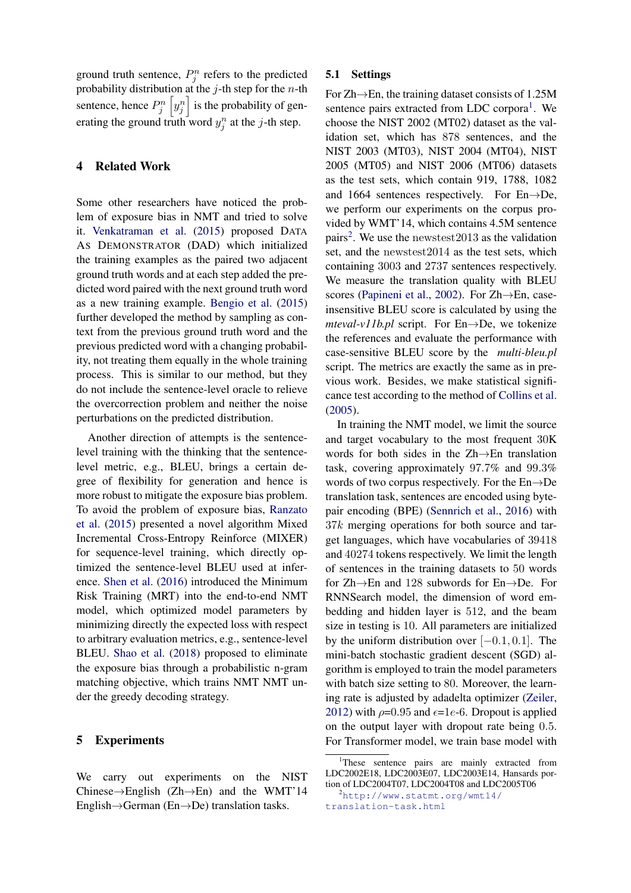ground truth sentence,  $P_j^n$  refers to the predicted probability distribution at the  $j$ -th step for the  $n$ -th sentence, hence  $P_j^n \left[ y_j^n \right]$  is the probability of generating the ground truth word  $y_j^n$  at the j-th step.

# 4 Related Work

Some other researchers have noticed the problem of exposure bias in NMT and tried to solve it. [Venkatraman et al.](#page-9-2) [\(2015\)](#page-9-2) proposed DATA AS DEMONSTRATOR (DAD) which initialized the training examples as the paired two adjacent ground truth words and at each step added the predicted word paired with the next ground truth word as a new training example. [Bengio et al.](#page-8-9) [\(2015\)](#page-8-9) further developed the method by sampling as context from the previous ground truth word and the previous predicted word with a changing probability, not treating them equally in the whole training process. This is similar to our method, but they do not include the sentence-level oracle to relieve the overcorrection problem and neither the noise perturbations on the predicted distribution.

Another direction of attempts is the sentencelevel training with the thinking that the sentencelevel metric, e.g., BLEU, brings a certain degree of flexibility for generation and hence is more robust to mitigate the exposure bias problem. To avoid the problem of exposure bias, [Ranzato](#page-8-3) [et al.](#page-8-3) [\(2015\)](#page-8-3) presented a novel algorithm Mixed Incremental Cross-Entropy Reinforce (MIXER) for sequence-level training, which directly optimized the sentence-level BLEU used at inference. [Shen et al.](#page-9-4) [\(2016\)](#page-9-4) introduced the Minimum Risk Training (MRT) into the end-to-end NMT model, which optimized model parameters by minimizing directly the expected loss with respect to arbitrary evaluation metrics, e.g., sentence-level BLEU. [Shao et al.](#page-9-5) [\(2018\)](#page-9-5) proposed to eliminate the exposure bias through a probabilistic n-gram matching objective, which trains NMT NMT under the greedy decoding strategy.

# 5 Experiments

We carry out experiments on the NIST Chinese→English (Zh→En) and the WMT'14 English→German (En→De) translation tasks.

# 5.1 Settings

For  $Zh \rightarrow En$ , the training dataset consists of 1.25M sentence pairs extracted from LDC corpora<sup>[1](#page-4-0)</sup>. We choose the NIST 2002 (MT02) dataset as the validation set, which has 878 sentences, and the NIST 2003 (MT03), NIST 2004 (MT04), NIST 2005 (MT05) and NIST 2006 (MT06) datasets as the test sets, which contain 919, 1788, 1082 and 1664 sentences respectively. For En→De, we perform our experiments on the corpus provided by WMT'14, which contains 4.5M sentence pairs<sup>[2](#page-4-1)</sup>. We use the newstest  $2013$  as the validation set, and the newstest2014 as the test sets, which containing 3003 and 2737 sentences respectively. We measure the translation quality with BLEU scores [\(Papineni et al.,](#page-8-5) [2002\)](#page-8-5). For Zh→En, caseinsensitive BLEU score is calculated by using the *mteval-v11b.pl* script. For En→De, we tokenize the references and evaluate the performance with case-sensitive BLEU score by the *multi-bleu.pl* script. The metrics are exactly the same as in previous work. Besides, we make statistical significance test according to the method of [Collins et al.](#page-8-10) [\(2005\)](#page-8-10).

In training the NMT model, we limit the source and target vocabulary to the most frequent 30K words for both sides in the Zh→En translation task, covering approximately 97.7% and 99.3% words of two corpus respectively. For the  $En \rightarrow De$ translation task, sentences are encoded using bytepair encoding (BPE) [\(Sennrich et al.,](#page-8-11) [2016\)](#page-8-11) with 37k merging operations for both source and target languages, which have vocabularies of 39418 and 40274 tokens respectively. We limit the length of sentences in the training datasets to 50 words for Zh→En and 128 subwords for En→De. For RNNSearch model, the dimension of word embedding and hidden layer is 512, and the beam size in testing is 10. All parameters are initialized by the uniform distribution over  $[-0.1, 0.1]$ . The mini-batch stochastic gradient descent (SGD) algorithm is employed to train the model parameters with batch size setting to 80. Moreover, the learning rate is adjusted by adadelta optimizer [\(Zeiler,](#page-9-6) [2012\)](#page-9-6) with  $\rho$ =0.95 and  $\epsilon$ =1e-6. Dropout is applied on the output layer with dropout rate being 0.5. For Transformer model, we train base model with

<span id="page-4-0"></span><sup>&</sup>lt;sup>1</sup>These sentence pairs are mainly extracted from LDC2002E18, LDC2003E07, LDC2003E14, Hansards portion of LDC2004T07, LDC2004T08 and LDC2005T06

<span id="page-4-1"></span><sup>2</sup>[http://www.statmt.org/wmt14/](http://www.statmt.org/wmt14/translation-task.html) [translation-task.html](http://www.statmt.org/wmt14/translation-task.html)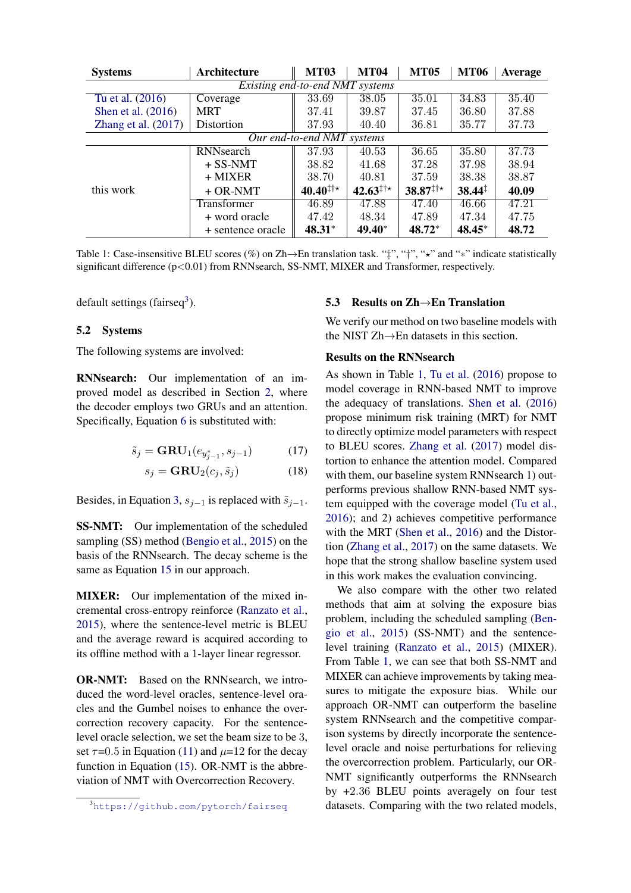<span id="page-5-1"></span>

| <b>Systems</b>                  | Architecture       | <b>MT03</b>       | <b>MT04</b>          | <b>MT05</b>                | <b>MT06</b>        | Average |  |  |
|---------------------------------|--------------------|-------------------|----------------------|----------------------------|--------------------|---------|--|--|
| Existing end-to-end NMT systems |                    |                   |                      |                            |                    |         |  |  |
| Tu et al. (2016)                | Coverage           | 33.69             | 38.05                | 35.01                      | 34.83              | 35.40   |  |  |
| Shen et al. $(2016)$            | <b>MRT</b>         | 37.41             | 39.87                | 37.45                      | 36.80              | 37.88   |  |  |
| Zhang et al. $(2017)$           | Distortion         | 37.93             | 40.40                | 36.81                      | 35.77              | 37.73   |  |  |
| Our end-to-end NMT systems      |                    |                   |                      |                            |                    |         |  |  |
| this work                       | <b>RNN</b> search  | 37.93             | 40.53                | 36.65                      | 35.80              | 37.73   |  |  |
|                                 | $+$ SS-NMT         | 38.82             | 41.68                | 37.28                      | 37.98              | 38.94   |  |  |
|                                 | $+$ MIXER          | 38.70             | 40.81                | 37.59                      | 38.38              | 38.87   |  |  |
|                                 | $+$ OR-NMT         | $40.40^{1+\star}$ | $42.63^{\ddagger +}$ | $38.87^{\ddagger + \star}$ | $38.44^{\ddagger}$ | 40.09   |  |  |
|                                 | <b>Transformer</b> | 46.89             | 47.88                | 47.40                      | 46.66              | 47.21   |  |  |
|                                 | + word oracle      | 47.42             | 48.34                | 47.89                      | 47.34              | 47.75   |  |  |
|                                 | + sentence oracle  | $48.31*$          | 49.40*               | 48.72*                     | $48.45*$           | 48.72   |  |  |

Table 1: Case-insensitive BLEU scores (%) on Zh→En translation task. " $\ddagger$ ", " $\ddagger$ ", " $\star$ " and "\*" indicate statistically significant difference (p<0.01) from RNNsearch, SS-NMT, MIXER and Transformer, respectively.

default settings (fairseq<sup>[3](#page-5-0)</sup>).

# 5.2 Systems

The following systems are involved:

RNNsearch: Our implementation of an improved model as described in Section [2,](#page-1-4) where the decoder employs two GRUs and an attention. Specifically, Equation [6](#page-1-0) is substituted with:

$$
\tilde{s}_j = \mathbf{GRU}_1(e_{y_{j-1}^*}, s_{j-1}) \tag{17}
$$

$$
s_j = \mathbf{GRU}_2(c_j, \tilde{s}_j) \tag{18}
$$

Besides, in Equation [3,](#page-1-5)  $s_{j-1}$  is replaced with  $\tilde{s}_{j-1}$ .

SS-NMT: Our implementation of the scheduled sampling (SS) method [\(Bengio et al.,](#page-8-9) [2015\)](#page-8-9) on the basis of the RNNsearch. The decay scheme is the same as Equation [15](#page-3-1) in our approach.

MIXER: Our implementation of the mixed incremental cross-entropy reinforce [\(Ranzato et al.,](#page-8-3) [2015\)](#page-8-3), where the sentence-level metric is BLEU and the average reward is acquired according to its offline method with a 1-layer linear regressor.

OR-NMT: Based on the RNNsearch, we introduced the word-level oracles, sentence-level oracles and the Gumbel noises to enhance the overcorrection recovery capacity. For the sentencelevel oracle selection, we set the beam size to be 3, set  $\tau$ =0.5 in Equation [\(11\)](#page-2-2) and  $\mu$ =12 for the decay function in Equation [\(15\)](#page-3-1). OR-NMT is the abbreviation of NMT with Overcorrection Recovery.

### 5.3 Results on Zh→En Translation

We verify our method on two baseline models with the NIST Zh→En datasets in this section.

# Results on the RNNsearch

As shown in Table [1,](#page-5-1) [Tu et al.](#page-9-7) [\(2016\)](#page-9-7) propose to model coverage in RNN-based NMT to improve the adequacy of translations. [Shen et al.](#page-9-4) [\(2016\)](#page-9-4) propose minimum risk training (MRT) for NMT to directly optimize model parameters with respect to BLEU scores. [Zhang et al.](#page-9-8) [\(2017\)](#page-9-8) model distortion to enhance the attention model. Compared with them, our baseline system RNNsearch 1) outperforms previous shallow RNN-based NMT system equipped with the coverage model [\(Tu et al.,](#page-9-7) [2016\)](#page-9-7); and 2) achieves competitive performance with the MRT [\(Shen et al.,](#page-9-4) [2016\)](#page-9-4) and the Distortion [\(Zhang et al.,](#page-9-8) [2017\)](#page-9-8) on the same datasets. We hope that the strong shallow baseline system used in this work makes the evaluation convincing.

We also compare with the other two related methods that aim at solving the exposure bias problem, including the scheduled sampling [\(Ben](#page-8-9)[gio et al.,](#page-8-9) [2015\)](#page-8-9) (SS-NMT) and the sentencelevel training [\(Ranzato et al.,](#page-8-3) [2015\)](#page-8-3) (MIXER). From Table [1,](#page-5-1) we can see that both SS-NMT and MIXER can achieve improvements by taking measures to mitigate the exposure bias. While our approach OR-NMT can outperform the baseline system RNNsearch and the competitive comparison systems by directly incorporate the sentencelevel oracle and noise perturbations for relieving the overcorrection problem. Particularly, our OR-NMT significantly outperforms the RNNsearch by +2.36 BLEU points averagely on four test datasets. Comparing with the two related models,

<span id="page-5-0"></span><sup>3</sup><https://github.com/pytorch/fairseq>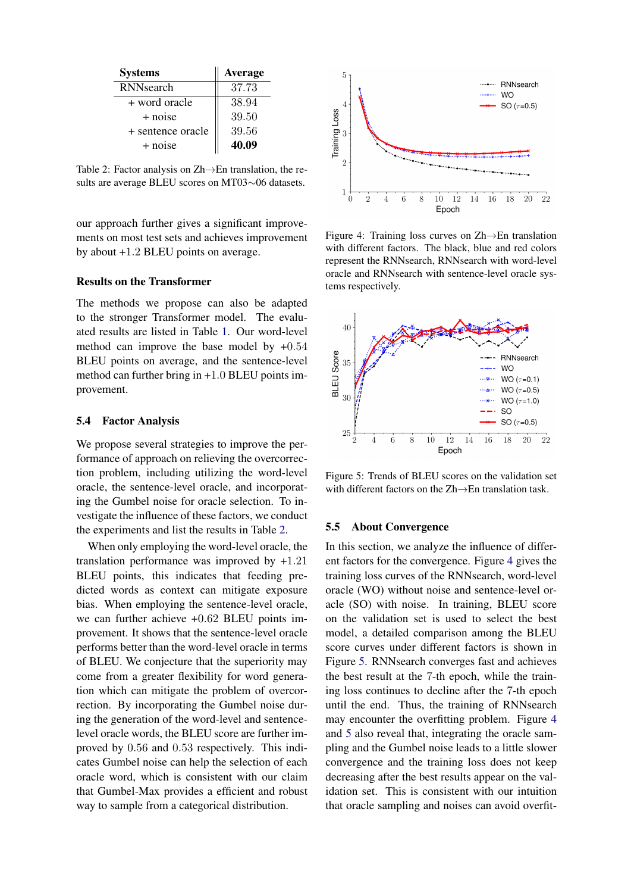<span id="page-6-0"></span>

| <b>Systems</b>    | Average |
|-------------------|---------|
| RNNsearch         | 37.73   |
| + word oracle     | 38.94   |
| + noise           | 39.50   |
| + sentence oracle | 39.56   |
| + noise           | 40.09   |

Table 2: Factor analysis on Zh→En translation, the results are average BLEU scores on MT03∼06 datasets.

our approach further gives a significant improvements on most test sets and achieves improvement by about +1.2 BLEU points on average.

#### Results on the Transformer

The methods we propose can also be adapted to the stronger Transformer model. The evaluated results are listed in Table [1.](#page-5-1) Our word-level method can improve the base model by  $+0.54$ BLEU points on average, and the sentence-level method can further bring in +1.0 BLEU points improvement.

#### 5.4 Factor Analysis

We propose several strategies to improve the performance of approach on relieving the overcorrection problem, including utilizing the word-level oracle, the sentence-level oracle, and incorporating the Gumbel noise for oracle selection. To investigate the influence of these factors, we conduct the experiments and list the results in Table [2.](#page-6-0)

When only employing the word-level oracle, the translation performance was improved by +1.21 BLEU points, this indicates that feeding predicted words as context can mitigate exposure bias. When employing the sentence-level oracle, we can further achieve +0.62 BLEU points improvement. It shows that the sentence-level oracle performs better than the word-level oracle in terms of BLEU. We conjecture that the superiority may come from a greater flexibility for word generation which can mitigate the problem of overcorrection. By incorporating the Gumbel noise during the generation of the word-level and sentencelevel oracle words, the BLEU score are further improved by 0.56 and 0.53 respectively. This indicates Gumbel noise can help the selection of each oracle word, which is consistent with our claim that Gumbel-Max provides a efficient and robust way to sample from a categorical distribution.

<span id="page-6-1"></span>

Figure 4: Training loss curves on Zh→En translation with different factors. The black, blue and red colors represent the RNNsearch, RNNsearch with word-level oracle and RNNsearch with sentence-level oracle systems respectively.

<span id="page-6-2"></span>

Figure 5: Trends of BLEU scores on the validation set with different factors on the Zh→En translation task.

### 5.5 About Convergence

In this section, we analyze the influence of different factors for the convergence. Figure [4](#page-6-1) gives the training loss curves of the RNNsearch, word-level oracle (WO) without noise and sentence-level oracle (SO) with noise. In training, BLEU score on the validation set is used to select the best model, a detailed comparison among the BLEU score curves under different factors is shown in Figure [5.](#page-6-2) RNNsearch converges fast and achieves the best result at the 7-th epoch, while the training loss continues to decline after the 7-th epoch until the end. Thus, the training of RNNsearch may encounter the overfitting problem. Figure [4](#page-6-1) and [5](#page-6-2) also reveal that, integrating the oracle sampling and the Gumbel noise leads to a little slower convergence and the training loss does not keep decreasing after the best results appear on the validation set. This is consistent with our intuition that oracle sampling and noises can avoid overfit-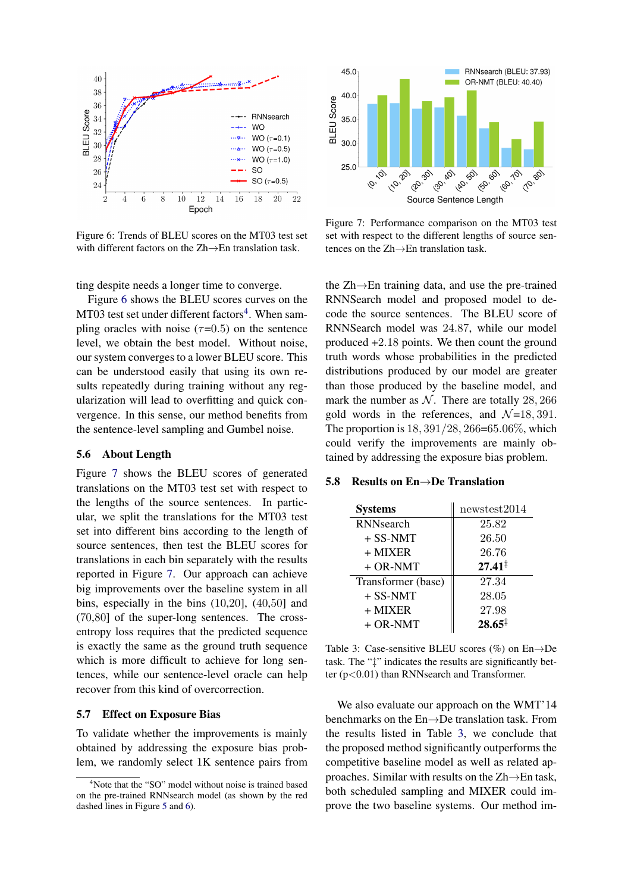<span id="page-7-0"></span>

Figure 6: Trends of BLEU scores on the MT03 test set with different factors on the Zh→En translation task.

ting despite needs a longer time to converge.

Figure [6](#page-7-0) shows the BLEU scores curves on the  $MT03$  test set under different factors<sup>[4](#page-7-1)</sup>. When sampling oracles with noise  $(\tau=0.5)$  on the sentence level, we obtain the best model. Without noise, our system converges to a lower BLEU score. This can be understood easily that using its own results repeatedly during training without any regularization will lead to overfitting and quick convergence. In this sense, our method benefits from the sentence-level sampling and Gumbel noise.

### 5.6 About Length

Figure [7](#page-7-2) shows the BLEU scores of generated translations on the MT03 test set with respect to the lengths of the source sentences. In particular, we split the translations for the MT03 test set into different bins according to the length of source sentences, then test the BLEU scores for translations in each bin separately with the results reported in Figure [7.](#page-7-2) Our approach can achieve big improvements over the baseline system in all bins, especially in the bins (10,20], (40,50] and (70,80] of the super-long sentences. The crossentropy loss requires that the predicted sequence is exactly the same as the ground truth sequence which is more difficult to achieve for long sentences, while our sentence-level oracle can help recover from this kind of overcorrection.

### 5.7 Effect on Exposure Bias

To validate whether the improvements is mainly obtained by addressing the exposure bias problem, we randomly select 1K sentence pairs from

<span id="page-7-2"></span>

Figure 7: Performance comparison on the MT03 test set with respect to the different lengths of source sentences on the Zh→En translation task.

the Zh→En training data, and use the pre-trained RNNSearch model and proposed model to decode the source sentences. The BLEU score of RNNSearch model was 24.87, while our model produced +2.18 points. We then count the ground truth words whose probabilities in the predicted distributions produced by our model are greater than those produced by the baseline model, and mark the number as  $N$ . There are totally 28, 266 gold words in the references, and  $\mathcal{N}=18, 391$ . The proportion is  $18, 391/28, 266 = 65.06\%$ , which could verify the improvements are mainly obtained by addressing the exposure bias problem.

# <span id="page-7-3"></span>5.8 Results on En→De Translation

| <b>Systems</b>     | newstest2014       |  |  |
|--------------------|--------------------|--|--|
| <b>RNN</b> search  | 25.82              |  |  |
| $+$ SS-NMT         | 26.50              |  |  |
| $+$ MIXER          | 26.76              |  |  |
| $+$ OR-NMT         | $27.41^{\ddagger}$ |  |  |
| Transformer (base) | 27.34              |  |  |
| $+$ SS-NMT         | 28.05              |  |  |
| $+$ MIXER          | 27.98              |  |  |
| $+$ OR-NMT         | $28.65^{\ddagger}$ |  |  |

Table 3: Case-sensitive BLEU scores  $(\%)$  on En $\rightarrow$ De task. The "‡" indicates the results are significantly better  $(p<0.01)$  than RNNsearch and Transformer.

We also evaluate our approach on the WMT'14 benchmarks on the En→De translation task. From the results listed in Table [3,](#page-7-3) we conclude that the proposed method significantly outperforms the competitive baseline model as well as related approaches. Similar with results on the Zh→En task, both scheduled sampling and MIXER could improve the two baseline systems. Our method im-

<span id="page-7-1"></span><sup>&</sup>lt;sup>4</sup>Note that the "SO" model without noise is trained based on the pre-trained RNNsearch model (as shown by the red dashed lines in Figure [5](#page-6-2) and [6\)](#page-7-0).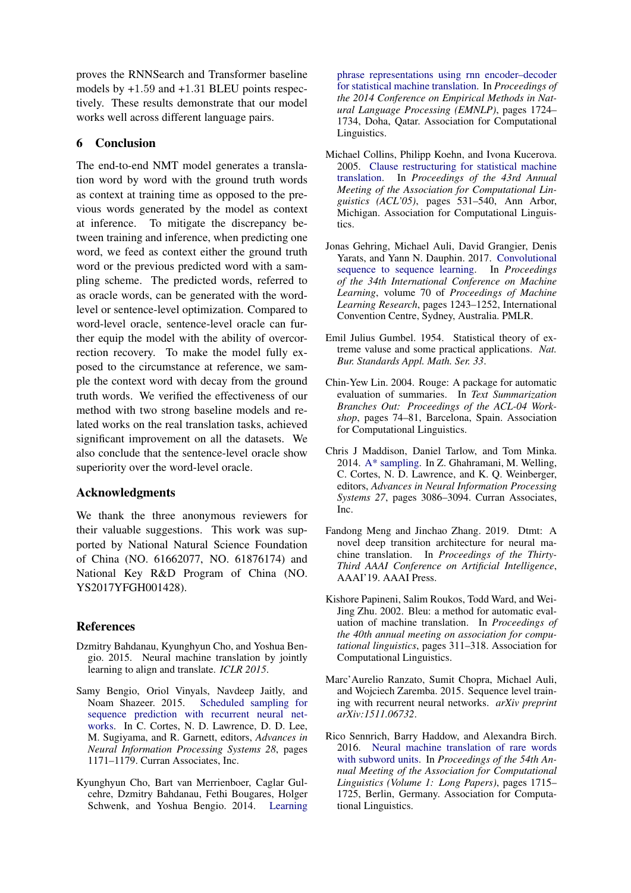proves the RNNSearch and Transformer baseline models by +1.59 and +1.31 BLEU points respectively. These results demonstrate that our model works well across different language pairs.

# 6 Conclusion

The end-to-end NMT model generates a translation word by word with the ground truth words as context at training time as opposed to the previous words generated by the model as context at inference. To mitigate the discrepancy between training and inference, when predicting one word, we feed as context either the ground truth word or the previous predicted word with a sampling scheme. The predicted words, referred to as oracle words, can be generated with the wordlevel or sentence-level optimization. Compared to word-level oracle, sentence-level oracle can further equip the model with the ability of overcorrection recovery. To make the model fully exposed to the circumstance at reference, we sample the context word with decay from the ground truth words. We verified the effectiveness of our method with two strong baseline models and related works on the real translation tasks, achieved significant improvement on all the datasets. We also conclude that the sentence-level oracle show superiority over the word-level oracle.

# Acknowledgments

We thank the three anonymous reviewers for their valuable suggestions. This work was supported by National Natural Science Foundation of China (NO. 61662077, NO. 61876174) and National Key R&D Program of China (NO. YS2017YFGH001428).

# References

- <span id="page-8-0"></span>Dzmitry Bahdanau, Kyunghyun Cho, and Yoshua Bengio. 2015. Neural machine translation by jointly learning to align and translate. *ICLR 2015*.
- <span id="page-8-9"></span>Samy Bengio, Oriol Vinyals, Navdeep Jaitly, and Noam Shazeer. 2015. [Scheduled sampling for](http://papers.nips.cc/paper/5956-scheduled-sampling-for-sequence-prediction-with-recurrent-neural-networks.pdf) [sequence prediction with recurrent neural net](http://papers.nips.cc/paper/5956-scheduled-sampling-for-sequence-prediction-with-recurrent-neural-networks.pdf)[works.](http://papers.nips.cc/paper/5956-scheduled-sampling-for-sequence-prediction-with-recurrent-neural-networks.pdf) In C. Cortes, N. D. Lawrence, D. D. Lee, M. Sugiyama, and R. Garnett, editors, *Advances in Neural Information Processing Systems 28*, pages 1171–1179. Curran Associates, Inc.
- <span id="page-8-4"></span>Kyunghyun Cho, Bart van Merrienboer, Caglar Gulcehre, Dzmitry Bahdanau, Fethi Bougares, Holger Schwenk, and Yoshua Bengio. 2014. [Learning](http://www.aclweb.org/anthology/D14-1179)

[phrase representations using rnn encoder–decoder](http://www.aclweb.org/anthology/D14-1179) [for statistical machine translation.](http://www.aclweb.org/anthology/D14-1179) In *Proceedings of the 2014 Conference on Empirical Methods in Natural Language Processing (EMNLP)*, pages 1724– 1734, Doha, Qatar. Association for Computational Linguistics.

- <span id="page-8-10"></span>Michael Collins, Philipp Koehn, and Ivona Kucerova. 2005. [Clause restructuring for statistical machine](https://doi.org/10.3115/1219840.1219906) [translation.](https://doi.org/10.3115/1219840.1219906) In *Proceedings of the 43rd Annual Meeting of the Association for Computational Linguistics (ACL'05)*, pages 531–540, Ann Arbor, Michigan. Association for Computational Linguistics.
- <span id="page-8-2"></span>Jonas Gehring, Michael Auli, David Grangier, Denis Yarats, and Yann N. Dauphin. 2017. [Convolutional](http://proceedings.mlr.press/v70/gehring17a.html) [sequence to sequence learning.](http://proceedings.mlr.press/v70/gehring17a.html) In *Proceedings of the 34th International Conference on Machine Learning*, volume 70 of *Proceedings of Machine Learning Research*, pages 1243–1252, International Convention Centre, Sydney, Australia. PMLR.
- <span id="page-8-7"></span>Emil Julius Gumbel. 1954. Statistical theory of extreme valuse and some practical applications. *Nat. Bur. Standards Appl. Math. Ser. 33*.
- <span id="page-8-6"></span>Chin-Yew Lin. 2004. Rouge: A package for automatic evaluation of summaries. In *Text Summarization Branches Out: Proceedings of the ACL-04 Workshop*, pages 74–81, Barcelona, Spain. Association for Computational Linguistics.
- <span id="page-8-8"></span>Chris J Maddison, Daniel Tarlow, and Tom Minka. 2014. [A\\* sampling.](http://papers.nips.cc/paper/5449-a-sampling.pdf) In Z. Ghahramani, M. Welling, C. Cortes, N. D. Lawrence, and K. Q. Weinberger, editors, *Advances in Neural Information Processing Systems 27*, pages 3086–3094. Curran Associates, Inc.
- <span id="page-8-1"></span>Fandong Meng and Jinchao Zhang. 2019. Dtmt: A novel deep transition architecture for neural machine translation. In *Proceedings of the Thirty-Third AAAI Conference on Artificial Intelligence*, AAAI'19. AAAI Press.
- <span id="page-8-5"></span>Kishore Papineni, Salim Roukos, Todd Ward, and Wei-Jing Zhu. 2002. Bleu: a method for automatic evaluation of machine translation. In *Proceedings of the 40th annual meeting on association for computational linguistics*, pages 311–318. Association for Computational Linguistics.
- <span id="page-8-3"></span>Marc'Aurelio Ranzato, Sumit Chopra, Michael Auli, and Wojciech Zaremba. 2015. Sequence level training with recurrent neural networks. *arXiv preprint arXiv:1511.06732*.
- <span id="page-8-11"></span>Rico Sennrich, Barry Haddow, and Alexandra Birch. 2016. [Neural machine translation of rare words](http://www.aclweb.org/anthology/P16-1162) [with subword units.](http://www.aclweb.org/anthology/P16-1162) In *Proceedings of the 54th Annual Meeting of the Association for Computational Linguistics (Volume 1: Long Papers)*, pages 1715– 1725, Berlin, Germany. Association for Computational Linguistics.